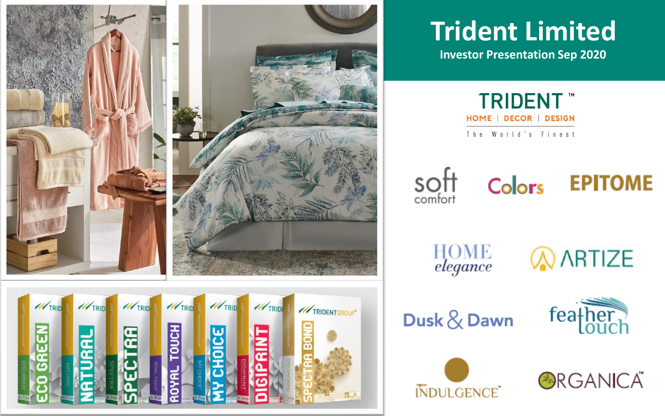

# **Trident Limited**

**Investor Presentation Sep 2020**

**TRIDENT™** HOME | DECOR | DESIGN The World's Finest

soft<br>comfort

Colors **EPITOME** 

**HOME**<br>elegance

**AARTIZE** 

Dusk & Dawn





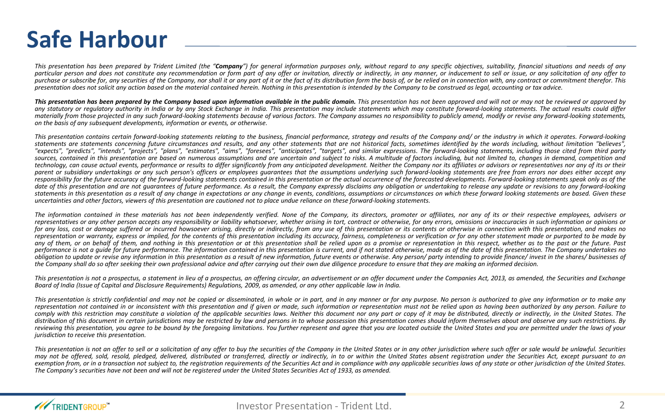#### **Safe Harbour**

This presentation has been prepared by Trident Limited (the "Company") for general information purposes only, without regard to any specific objectives, suitability, financial situations and needs of any particular person and does not constitute any recommendation or form part of any offer or invitation, directly or indirectly, in any manner, or inducement to sell or issue, or any solicitation of any offer to purchase or subscribe for, any securities of the Company, nor shall it or any part of it or the fact of its distribution form the basis of, or be relied on in connection with, any contract or commitment therefor. This presentation does not solicit any action based on the material contained herein. Nothing in this presentation is intended by the Company to be construed as legal, accounting or tax advice.

This presentation has been prepared by the Company based upon information available in the public domain. This presentation has not been approved and will not or may not be reviewed or approved by any statutory or requlatory authority in India or by any Stock Exchange in India. This presentation may include statements which may constitute forward-looking statements. The actual results could differ materially from those projected in any such forward-looking statements because of various factors. The Company assumes no responsibility to publicly amend, modify or revise any forward-looking statements, *on the basis of any subsequent developments, information or events, or otherwise.*

This presentation contains certain forward-lookina statements relatina to the business, financial performance, strateay and results of the Company and/ or the industry in which it operates. Forward-lookina statements are statements concerning future circumstances and results, and any other statements that are not historical facts, sometimes identified by the words including, without limitation "believes". "expects", "predicts", "intends", "projects", "plans", "estimates", "aims", "foresees", "anticipates", "targets", and similar expressions. The forward-looking statements, including those cited from third party sources, contained in this presentation are based on numerous assumptions and are uncertain and subject to risks. A multitude of factors including, but not limited to, changes in demand, competition and technology, can cause actual events, performance or results to differ significantly from any anticipated development. Neither the Company nor its affiliates or advisors or representatives nor any of its or their parent or subsidiary undertakings or any such person's officers or employees quarantees that the assumptions underlying such forward-looking statements are free from errors nor does either accept any responsibility for the future accuracy of the forward-looking statements contained in this presentation or the actual occurrence of the forecasted developments. Forward-looking statements speak only as of the date of this presentation and are not quarantees of future performance. As a result, the Company expressly disclaims any obligation or undertaking to release any update or revisions to any forward-looking statements in this presentation as a result of any change in expectations or any change in events, conditions, assumptions or circumstances on which these forward looking statements are based. Given these uncertainties and other factors, viewers of this presentation are cautioned not to place undue reliance on these forward-looking statements.

The information contained in these materials has not been independently verified. None of the Company, its directors, promoter or affiliates, nor any of its or their respective employees, advisers or representatives or any other person accepts any responsibility or liability whatsoever, whether arising in tort, contract or otherwise, for any errors, omissions or inaccuracies in such information or opinions or for any loss, cost or damage suffered or incurred howsoever arising, directly or indirectly, from any use of this presentation or its contents or otherwise in connection with this presentation, and makes no representation or warranty, express or implied, for the contents of this presentation includina its accuracy, fairness, completeness or verification or for any other statement made or purported to be made by any of them, or on behalf of them, and nothing in this presentation or at this presentation shall be relied upon as a promise or representation in this respect, whether as to the past or the future. Past performance is not a quide for future performance. The information contained in this presentation is current, and if not stated otherwise, made as of the date of this presentation. The Company undertakes no obligation to update or revise any information in this presentation as a result of new information, future events or otherwise. Any person/party intending to provide finance/invest in the shares/businesses of the Company shall do so after seeking their own professional advice and after carrying out their own due diligence procedure to ensure that they are making an informed decision.

This presentation is not a prospectus, a statement in lieu of a prospectus, an offering circular, an advertisement or an offer document under the Companies Act, 2013, as amended, the Securities and Exchange Board of India (Issue of Capital and Disclosure Reauirements) Reaulations, 2009, as amended, or any other applicable law in India.

This presentation is strictly confidential and may not be copied or disseminated, in whole or in part, and in any manner or for any purpose. No person is authorized to give any information or to make any representation not contained in or inconsistent with this presentation and if given or made, such information or representation must not be relied upon as having been authorized by any person. Failure to comply with this restriction may constitute a violation of the applicable securities laws. Neither this document nor any part or copy of it may be distributed, directly or indirectly, in the United States. The distribution of this document in certain jurisdictions may be restricted by law and persons in to whose possession this presentation comes should inform themselves about and observe any such restrictions. By reviewing this presentation, you garee to be bound by the foregoing limitations. You further represent and garee that you are located outside the United States and you are permitted under the laws of your *jurisdiction to receive this presentation.*

This presentation is not an offer to sell or a solicitation of any offer to buy the securities of the Company in the United States or in any other jurisdiction where such offer or sale would be unlawful. Securities may not be offered, sold, resold, pledaed, delivered, distributed or transferred, directly or indirectly, in to or within the United States absent registration under the Securities Act, except pursuant to an exemption from, or in a transaction not subject to, the registration requirements of the Securities Act and in compliance with any applicable securities laws of any state or other jurisdiction of the United States. The Company's securities have not been and will not be registered under the United States Securities Act of 1933, as amended.

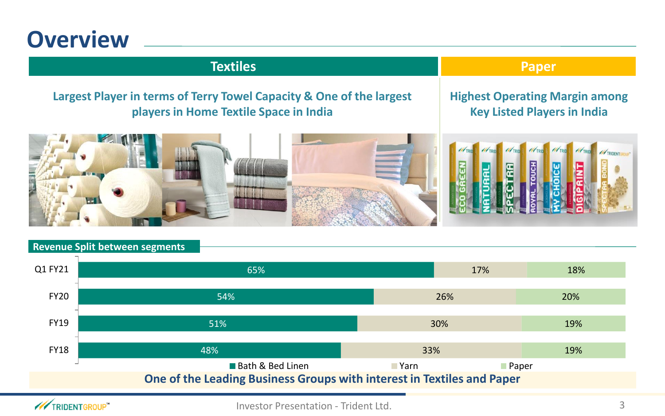#### **Overview**

#### **Textiles Paper**

#### **Largest Player in terms of Terry Towel Capacity & One of the largest players in Home Textile Space in India**

#### **Highest Operating Margin among Key Listed Players in India**



#### **One of the Leading Business Groups with interest in Textiles and Paper Revenue Split between segments** 48% 51% 54% 65% 33% 30% 26% 17% 19% 19% 20% 18% FY18 FY19 FY20 Q1 FY21 ■ Bath & Bed Linen Yarn Paper

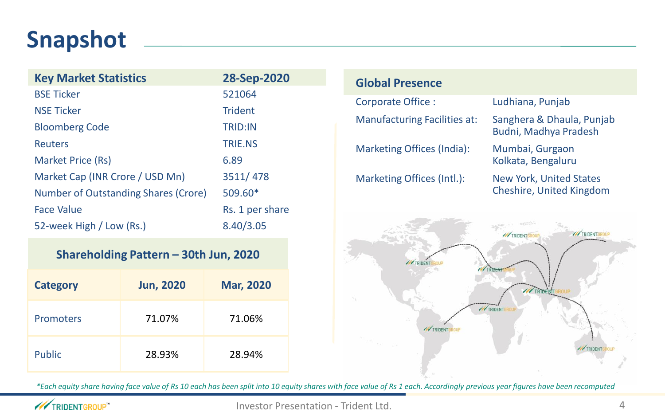### **Snapshot**

| <b>Key Market Statistics</b>         | 28-Sep-2020     |
|--------------------------------------|-----------------|
| <b>BSE Ticker</b>                    | 521064          |
| <b>NSE Ticker</b>                    | <b>Trident</b>  |
| <b>Bloomberg Code</b>                | <b>TRID:IN</b>  |
| <b>Reuters</b>                       | <b>TRIF.NS</b>  |
| Market Price (Rs)                    | 6.89            |
| Market Cap (INR Crore / USD Mn)      | 3511/478        |
| Number of Outstanding Shares (Crore) | 509.60*         |
| <b>Face Value</b>                    | Rs. 1 per share |
| 52-week High / Low (Rs.)             | 8.40/3.05       |

#### **Shareholding Pattern – 30th Jun, 2020**

| <b>Category</b> | <b>Jun, 2020</b> | <b>Mar, 2020</b> |
|-----------------|------------------|------------------|
| Promoters       | 71.07%           | 71.06%           |
| Public          | 28.93%           | 28.94%           |





*\*Each equity share having face value of Rs 10 each has been split into 10 equity shares with face value of Rs 1 each. Accordingly previous year figures have been recomputed* 

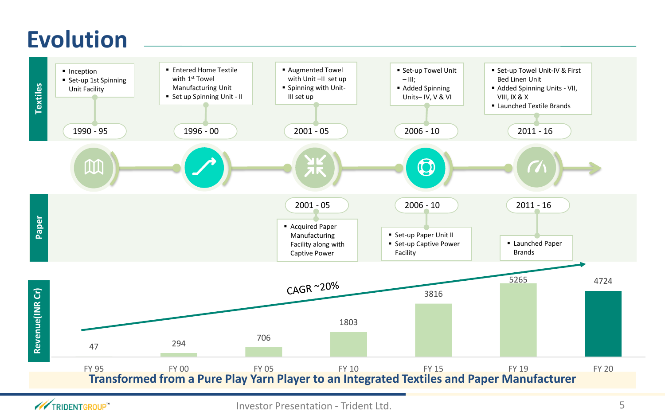### **Evolution**



**XX**TRIDENTGROUP"

Investor Presentation - Trident Ltd. 5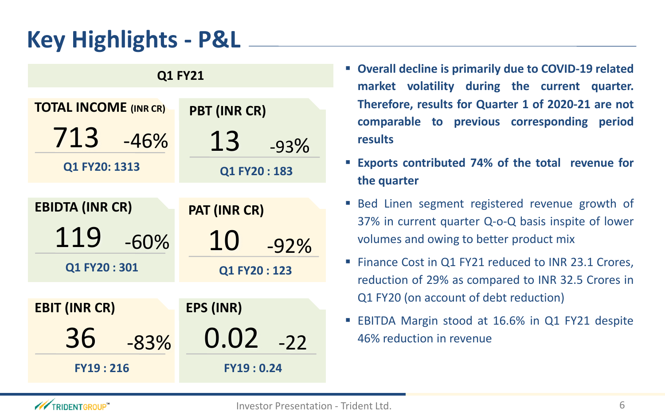## **Key Highlights - P&L**

| Q1 FY21                                       |                     |  |  |  |
|-----------------------------------------------|---------------------|--|--|--|
| <b>TOTAL INCOME (INR CR)</b>                  | <b>PBT (INR CR)</b> |  |  |  |
| 713<br>$-46%$                                 | 13<br>$-93%$        |  |  |  |
| Q1 FY20: 1313                                 | Q1 FY20:183         |  |  |  |
|                                               |                     |  |  |  |
| <b>EBIDTA (INR CR)</b><br><b>PAT (INR CR)</b> |                     |  |  |  |
| 119<br>$-60%$                                 | 10<br>$-92%$        |  |  |  |
| Q1 FY20:301                                   | Q1 FY20:123         |  |  |  |
|                                               |                     |  |  |  |
| <b>EBIT (INR CR)</b>                          | <b>EPS (INR)</b>    |  |  |  |
| 36<br>$-83%$                                  | 0.02<br>$-22$       |  |  |  |
| <b>FY19:216</b>                               | <b>FY19:0.24</b>    |  |  |  |

- **Overall decline is primarily due to COVID-19 related market volatility during the current quarter. Therefore, results for Quarter 1 of 2020-21 are not comparable to previous corresponding period results**
- **Exports contributed 74% of the total revenue for the quarter**
- Bed Linen segment registered revenue growth of 37% in current quarter Q-o-Q basis inspite of lower volumes and owing to better product mix
- Finance Cost in Q1 FY21 reduced to INR 23.1 Crores, reduction of 29% as compared to INR 32.5 Crores in Q1 FY20 (on account of debt reduction)
- **EBITDA Margin stood at 16.6% in Q1 FY21 despite** 46% reduction in revenue

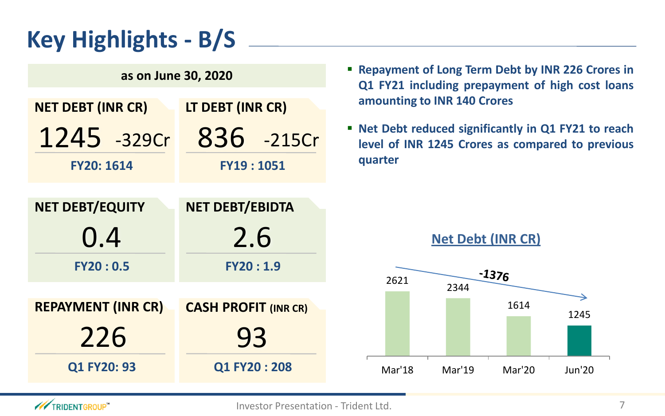## **Key Highlights - B/S**

| as on June 30, 2020                              |                             |  |  |  |
|--------------------------------------------------|-----------------------------|--|--|--|
| LT DEBT (INR CR)<br><b>NET DEBT (INR CR)</b>     |                             |  |  |  |
| $1245 - 329c$ r                                  | 836 -215Cr                  |  |  |  |
| FY20: 1614                                       | <b>FY19:1051</b>            |  |  |  |
|                                                  |                             |  |  |  |
| <b>NET DEBT/EBIDTA</b><br><b>NET DEBT/EQUITY</b> |                             |  |  |  |
|                                                  |                             |  |  |  |
| 0.4                                              | 2.6                         |  |  |  |
| FY20:0.5                                         | <b>FY20:1.9</b>             |  |  |  |
|                                                  |                             |  |  |  |
| <b>REPAYMENT (INR CR)</b>                        | <b>CASH PROFIT (INR CR)</b> |  |  |  |
| 226                                              | 93                          |  |  |  |

- **Repayment of Long Term Debt by INR 226 Crores in Q1 FY21 including prepayment of high cost loans amounting to INR 140 Crores**
- **Net Debt reduced significantly in Q1 FY21 to reach level of INR 1245 Crores as compared to previous quarter**



**Net Debt (INR CR)**

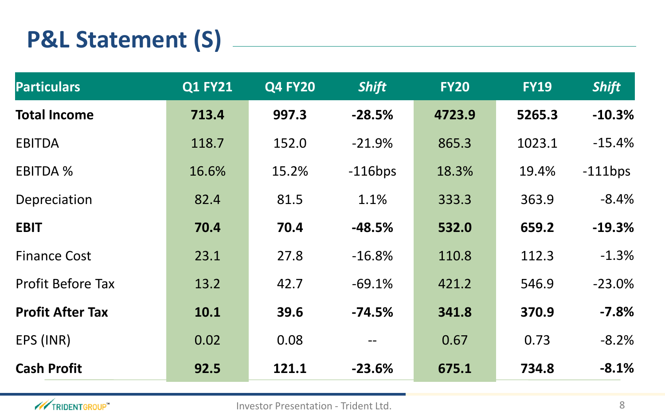## **P&L Statement (S)**

| <b>Particulars</b>       | <b>Q1 FY21</b> | <b>Q4 FY20</b> | <b>Shift</b> | <b>FY20</b> | <b>FY19</b> | <b>Shift</b> |
|--------------------------|----------------|----------------|--------------|-------------|-------------|--------------|
| <b>Total Income</b>      | 713.4          | 997.3          | $-28.5%$     | 4723.9      | 5265.3      | $-10.3%$     |
| <b>EBITDA</b>            | 118.7          | 152.0          | $-21.9%$     | 865.3       | 1023.1      | $-15.4%$     |
| <b>EBITDA %</b>          | 16.6%          | 15.2%          | $-116bps$    | 18.3%       | 19.4%       | $-111$ bps   |
| Depreciation             | 82.4           | 81.5           | 1.1%         | 333.3       | 363.9       | $-8.4%$      |
| <b>EBIT</b>              | 70.4           | 70.4           | $-48.5%$     | 532.0       | 659.2       | $-19.3%$     |
| <b>Finance Cost</b>      | 23.1           | 27.8           | $-16.8%$     | 110.8       | 112.3       | $-1.3%$      |
| <b>Profit Before Tax</b> | 13.2           | 42.7           | $-69.1%$     | 421.2       | 546.9       | $-23.0%$     |
| <b>Profit After Tax</b>  | 10.1           | 39.6           | $-74.5%$     | 341.8       | 370.9       | $-7.8%$      |
| EPS (INR)                | 0.02           | 0.08           |              | 0.67        | 0.73        | $-8.2%$      |
| <b>Cash Profit</b>       | 92.5           | 121.1          | $-23.6%$     | 675.1       | 734.8       | $-8.1%$      |

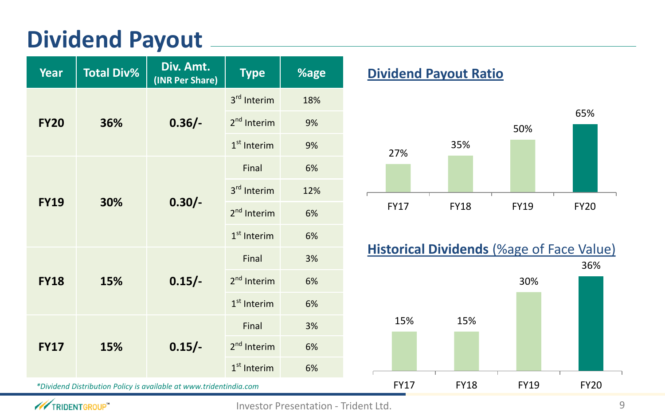### **Dividend Payout**

| <b>Year</b>                                                        | <b>Total Div%</b>              | Div. Amt.<br>(INR Per Share) | <b>Type</b>             | %age |
|--------------------------------------------------------------------|--------------------------------|------------------------------|-------------------------|------|
|                                                                    | $0.36/-$<br><b>FY20</b><br>36% | 3 <sup>rd</sup> Interim      | 18%                     |      |
|                                                                    |                                | 2 <sup>nd</sup> Interim      | 9%                      |      |
|                                                                    |                                | $1st$ Interim                | 9%                      |      |
|                                                                    |                                |                              | Final                   | 6%   |
|                                                                    |                                | 3 <sup>rd</sup> Interim      | 12%                     |      |
| <b>FY19</b><br>30%                                                 | $0.30/-$                       | 2 <sup>nd</sup> Interim      | 6%                      |      |
|                                                                    |                                |                              | $1st$ Interim           | 6%   |
|                                                                    |                                |                              | Final                   | 3%   |
| <b>FY18</b>                                                        | $0.15/-$<br>15%                | 2 <sup>nd</sup> Interim      | 6%                      |      |
|                                                                    |                                | $1st$ Interim                | 6%                      |      |
| <b>FY17</b><br>15%                                                 |                                | Final                        | 3%                      |      |
|                                                                    | $0.15/-$                       |                              | 2 <sup>nd</sup> Interim | 6%   |
|                                                                    |                                | $1st$ Interim                | 6%                      |      |
| *Dividend Distribution Policy is available at www.tridentindia.com |                                |                              |                         |      |

#### **<u>Dividend Payout Ratio</u>**





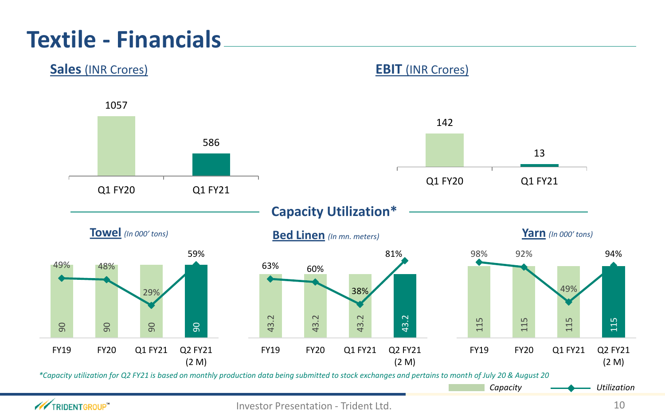### **Textile - Financials**



#### **XX**TRIDENTGROUP"

Investor Presentation - Trident Ltd. 10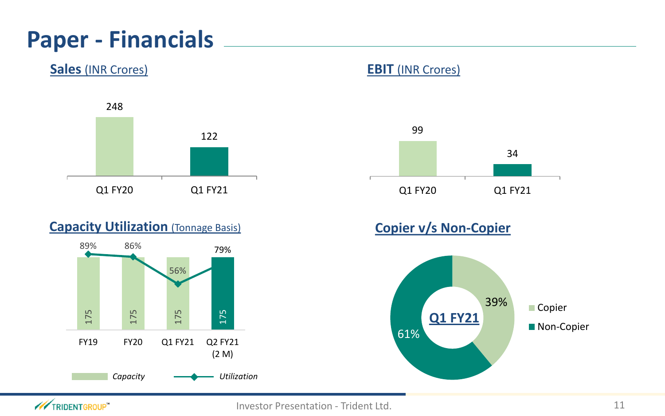### **Paper - Financials**

**Sales** (INR Crores) **EBIT** (INR Crores)



#### **Capacity Utilization** (Tonnage Basis)





#### **Copier v/s Non-Copier**



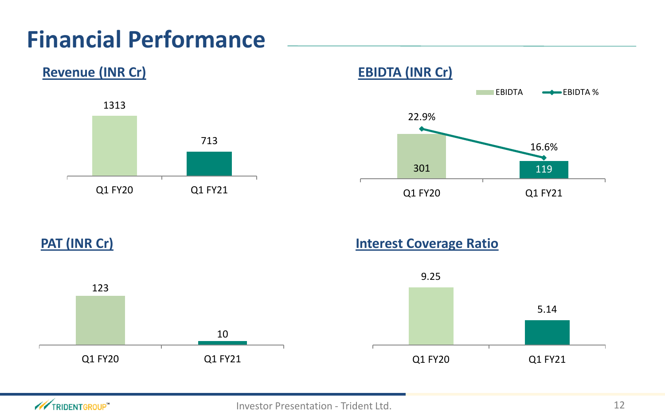### **Financial Performance**





**PAT (INR Cr) Interest Coverage Ratio**





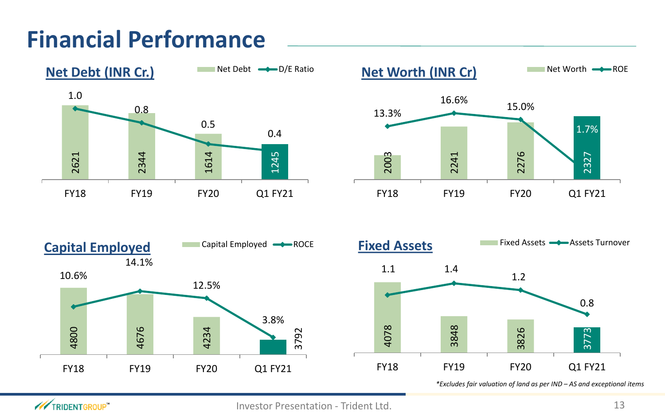### **Financial Performance**









*\*Excludes fair valuation of land as per IND – AS and exceptional items* 

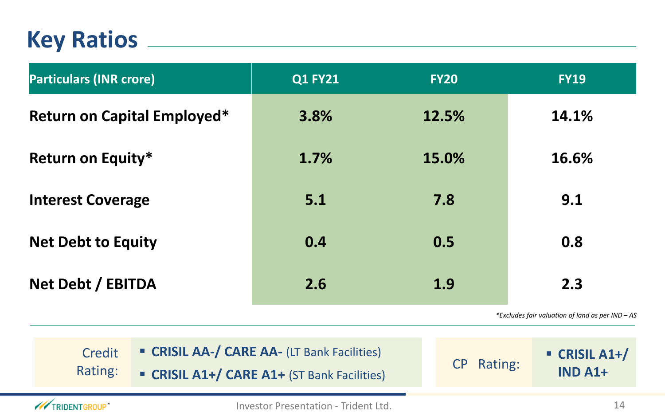#### **Key Ratios**

| <b>Particulars (INR crore)</b>     | <b>Q1 FY21</b> | <b>FY20</b> | <b>FY19</b> |
|------------------------------------|----------------|-------------|-------------|
| <b>Return on Capital Employed*</b> | 3.8%           | 12.5%       | 14.1%       |
| <b>Return on Equity*</b>           | 1.7%           | 15.0%       | 16.6%       |
| <b>Interest Coverage</b>           | 5.1            | 7.8         | 9.1         |
| <b>Net Debt to Equity</b>          | 0.4            | 0.5         | 0.8         |
| Net Debt / EBITDA                  | 2.6            | 1.9         | 2.3         |
|                                    |                |             | $*F$        |

*\*Excludes fair valuation of land as per IND – AS*

▪ **CRISIL A1+/ IND A1+**

| Credit  | <b>Example 2018 CARE AA- (LT Bank Facilities)</b> |            |
|---------|---------------------------------------------------|------------|
| Rating: | <b>CRISIL A1+/ CARE A1+ (ST Bank Facilities)</b>  | CP Rating: |